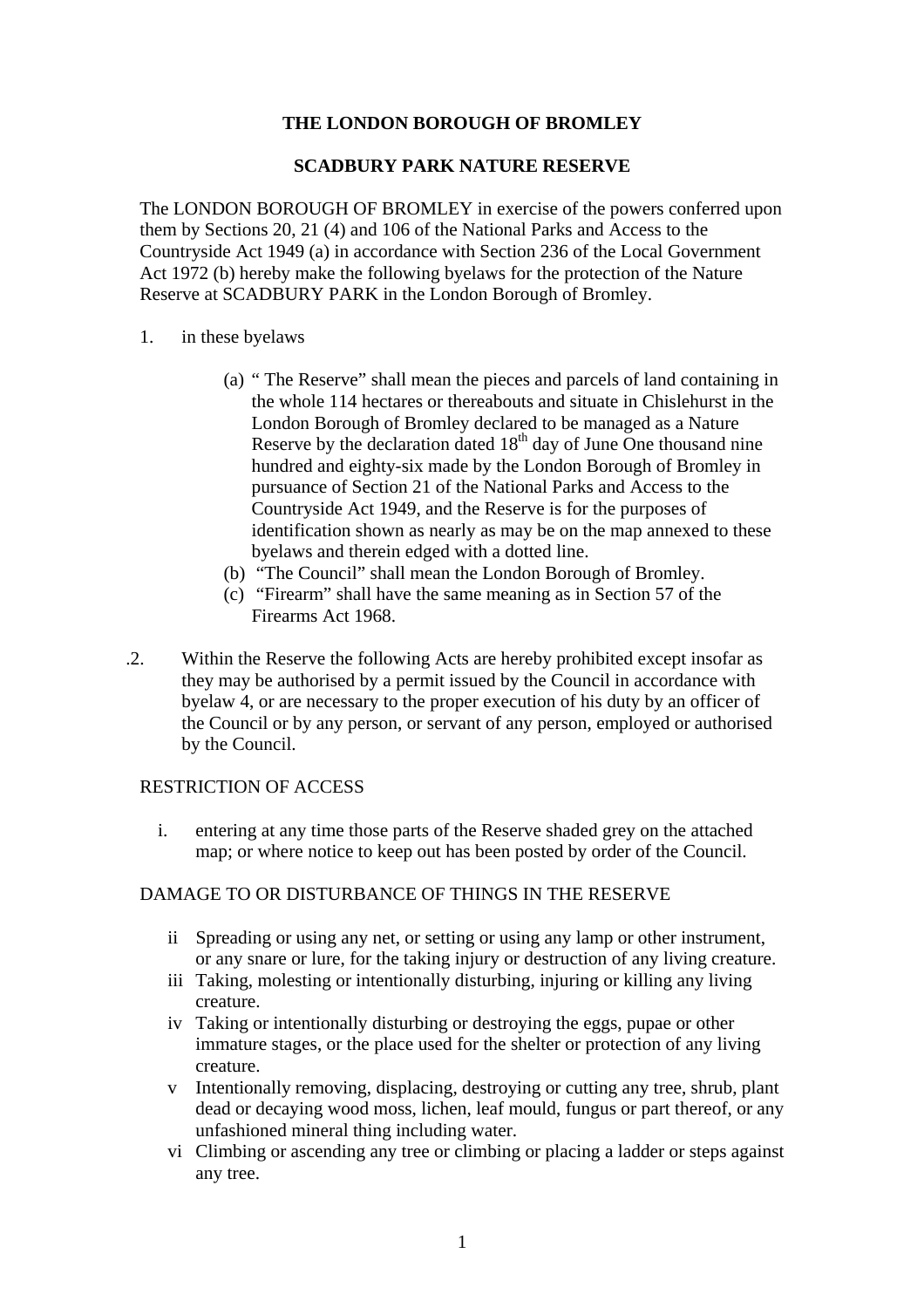# **THE LONDON BOROUGH OF BROMLEY**

#### **SCADBURY PARK NATURE RESERVE**

The LONDON BOROUGH OF BROMLEY in exercise of the powers conferred upon them by Sections 20, 21 (4) and 106 of the National Parks and Access to the Countryside Act 1949 (a) in accordance with Section 236 of the Local Government Act 1972 (b) hereby make the following byelaws for the protection of the Nature Reserve at SCADBURY PARK in the London Borough of Bromley.

- 1. in these byelaws
	- (a) " The Reserve" shall mean the pieces and parcels of land containing in the whole 114 hectares or thereabouts and situate in Chislehurst in the London Borough of Bromley declared to be managed as a Nature Reserve by the declaration dated  $18<sup>th</sup>$  day of June One thousand nine hundred and eighty-six made by the London Borough of Bromley in pursuance of Section 21 of the National Parks and Access to the Countryside Act 1949, and the Reserve is for the purposes of identification shown as nearly as may be on the map annexed to these byelaws and therein edged with a dotted line.
	- (b) "The Council" shall mean the London Borough of Bromley.
	- (c) "Firearm" shall have the same meaning as in Section 57 of the Firearms Act 1968.
- .2. Within the Reserve the following Acts are hereby prohibited except insofar as they may be authorised by a permit issued by the Council in accordance with byelaw 4, or are necessary to the proper execution of his duty by an officer of the Council or by any person, or servant of any person, employed or authorised by the Council.

#### RESTRICTION OF ACCESS

i. entering at any time those parts of the Reserve shaded grey on the attached map; or where notice to keep out has been posted by order of the Council.

# DAMAGE TO OR DISTURBANCE OF THINGS IN THE RESERVE

- ii Spreading or using any net, or setting or using any lamp or other instrument, or any snare or lure, for the taking injury or destruction of any living creature.
- iii Taking, molesting or intentionally disturbing, injuring or killing any living creature.
- iv Taking or intentionally disturbing or destroying the eggs, pupae or other immature stages, or the place used for the shelter or protection of any living creature.
- v Intentionally removing, displacing, destroying or cutting any tree, shrub, plant dead or decaying wood moss, lichen, leaf mould, fungus or part thereof, or any unfashioned mineral thing including water.
- vi Climbing or ascending any tree or climbing or placing a ladder or steps against any tree.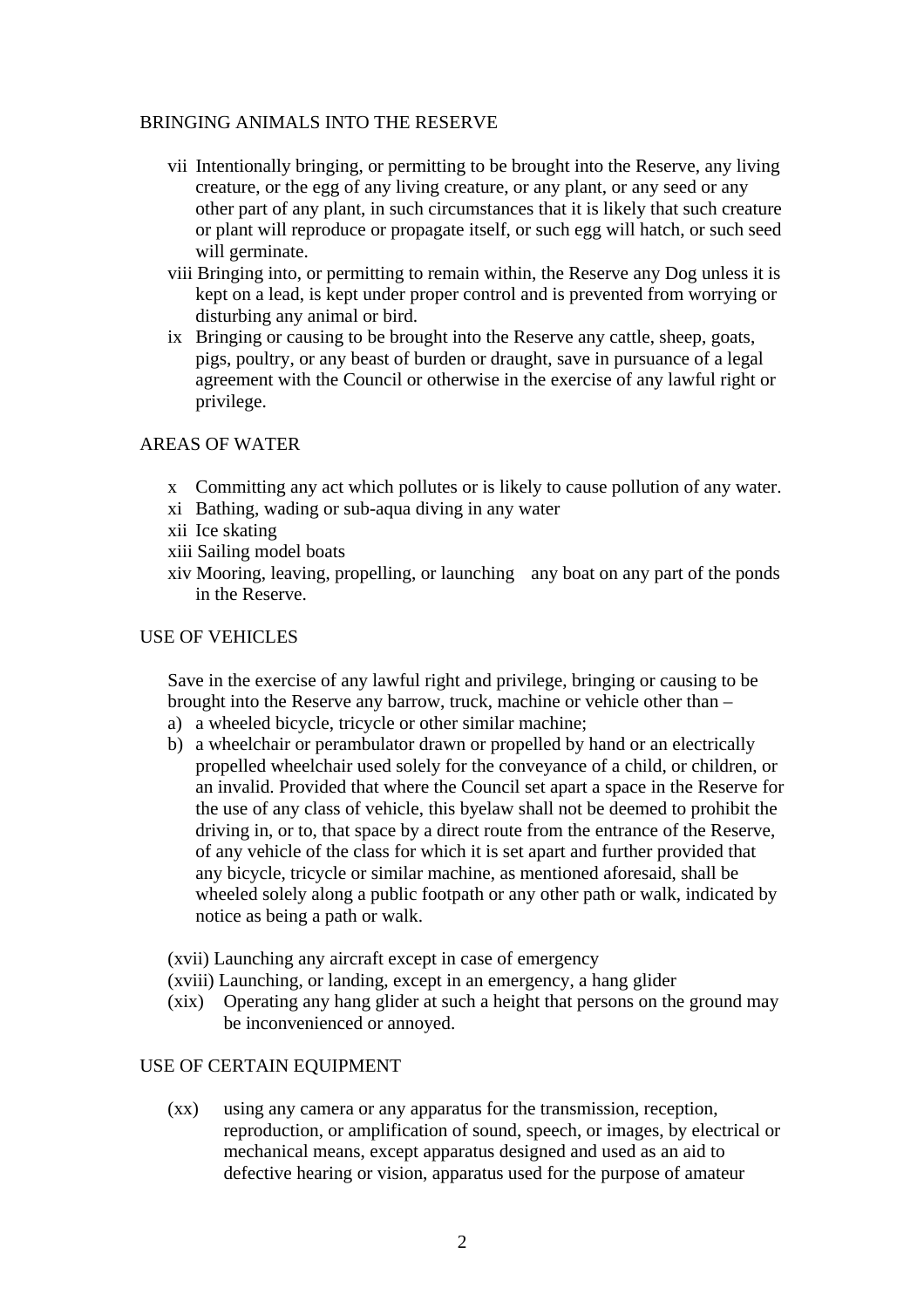# BRINGING ANIMALS INTO THE RESERVE

- vii Intentionally bringing, or permitting to be brought into the Reserve, any living creature, or the egg of any living creature, or any plant, or any seed or any other part of any plant, in such circumstances that it is likely that such creature or plant will reproduce or propagate itself, or such egg will hatch, or such seed will germinate.
- viii Bringing into, or permitting to remain within, the Reserve any Dog unless it is kept on a lead, is kept under proper control and is prevented from worrying or disturbing any animal or bird.
- ix Bringing or causing to be brought into the Reserve any cattle, sheep, goats, pigs, poultry, or any beast of burden or draught, save in pursuance of a legal agreement with the Council or otherwise in the exercise of any lawful right or privilege.

#### AREAS OF WATER

- x Committing any act which pollutes or is likely to cause pollution of any water.
- xi Bathing, wading or sub-aqua diving in any water
- xii Ice skating
- xiii Sailing model boats
- xiv Mooring, leaving, propelling, or launching any boat on any part of the ponds in the Reserve.

### USE OF VEHICLES

Save in the exercise of any lawful right and privilege, bringing or causing to be brought into the Reserve any barrow, truck, machine or vehicle other than –

- a) a wheeled bicycle, tricycle or other similar machine;
- b) a wheelchair or perambulator drawn or propelled by hand or an electrically propelled wheelchair used solely for the conveyance of a child, or children, or an invalid. Provided that where the Council set apart a space in the Reserve for the use of any class of vehicle, this byelaw shall not be deemed to prohibit the driving in, or to, that space by a direct route from the entrance of the Reserve, of any vehicle of the class for which it is set apart and further provided that any bicycle, tricycle or similar machine, as mentioned aforesaid, shall be wheeled solely along a public footpath or any other path or walk, indicated by notice as being a path or walk.
- (xvii) Launching any aircraft except in case of emergency
- (xviii) Launching, or landing, except in an emergency, a hang glider
- (xix) Operating any hang glider at such a height that persons on the ground may be inconvenienced or annoyed.

#### USE OF CERTAIN EQUIPMENT

(xx) using any camera or any apparatus for the transmission, reception, reproduction, or amplification of sound, speech, or images, by electrical or mechanical means, except apparatus designed and used as an aid to defective hearing or vision, apparatus used for the purpose of amateur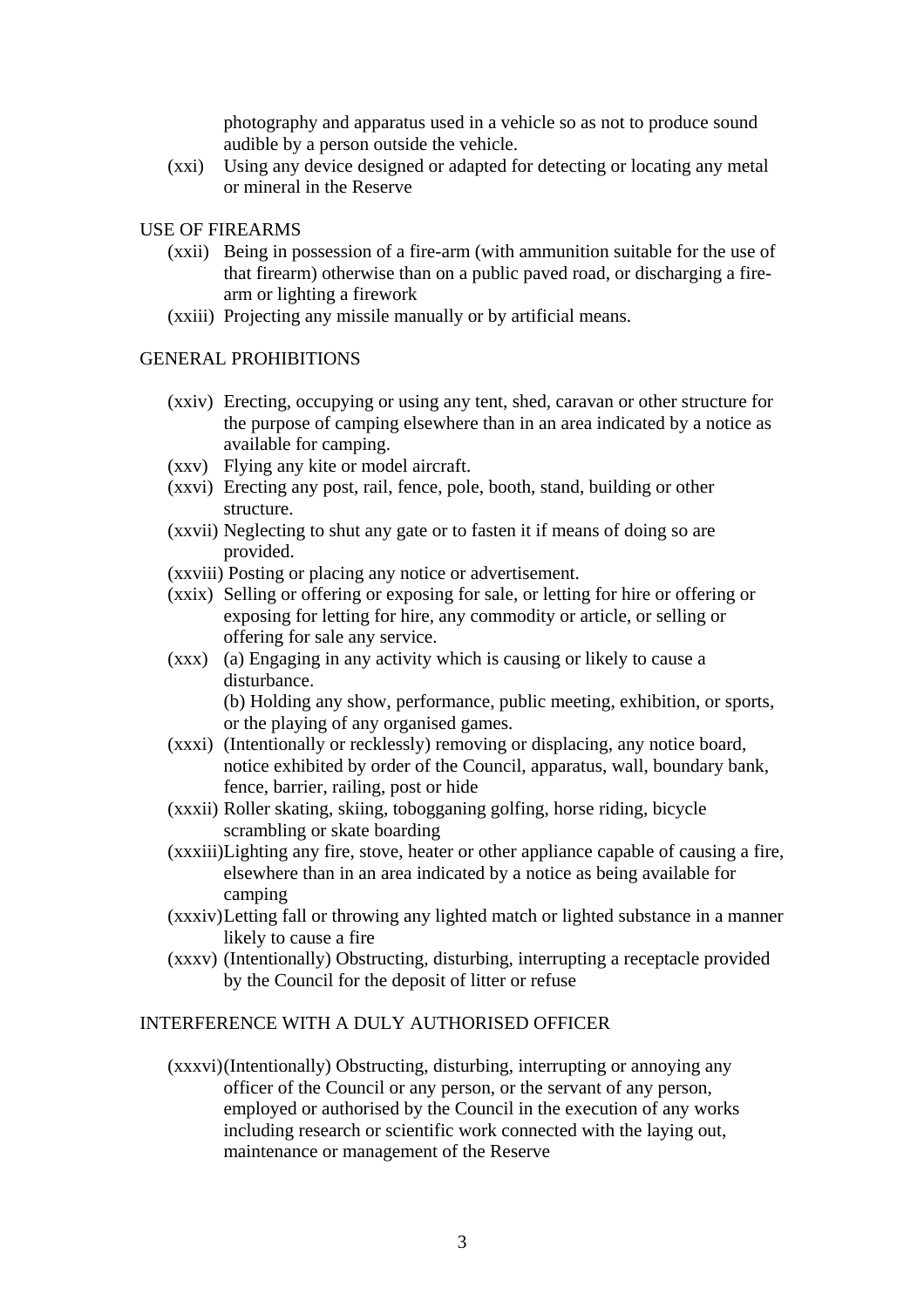photography and apparatus used in a vehicle so as not to produce sound audible by a person outside the vehicle.

(xxi) Using any device designed or adapted for detecting or locating any metal or mineral in the Reserve

#### USE OF FIREARMS

- (xxii) Being in possession of a fire-arm (with ammunition suitable for the use of that firearm) otherwise than on a public paved road, or discharging a firearm or lighting a firework
- (xxiii) Projecting any missile manually or by artificial means.

### GENERAL PROHIBITIONS

- (xxiv) Erecting, occupying or using any tent, shed, caravan or other structure for the purpose of camping elsewhere than in an area indicated by a notice as available for camping.
- (xxv) Flying any kite or model aircraft.
- (xxvi) Erecting any post, rail, fence, pole, booth, stand, building or other structure.
- (xxvii) Neglecting to shut any gate or to fasten it if means of doing so are provided.
- (xxviii) Posting or placing any notice or advertisement.
- (xxix) Selling or offering or exposing for sale, or letting for hire or offering or exposing for letting for hire, any commodity or article, or selling or offering for sale any service.
- (xxx) (a) Engaging in any activity which is causing or likely to cause a disturbance.

(b) Holding any show, performance, public meeting, exhibition, or sports, or the playing of any organised games.

- (xxxi) (Intentionally or recklessly) removing or displacing, any notice board, notice exhibited by order of the Council, apparatus, wall, boundary bank, fence, barrier, railing, post or hide
- (xxxii) Roller skating, skiing, tobogganing golfing, horse riding, bicycle scrambling or skate boarding
- (xxxiii)Lighting any fire, stove, heater or other appliance capable of causing a fire, elsewhere than in an area indicated by a notice as being available for camping
- (xxxiv)Letting fall or throwing any lighted match or lighted substance in a manner likely to cause a fire
- (xxxv) (Intentionally) Obstructing, disturbing, interrupting a receptacle provided by the Council for the deposit of litter or refuse

# INTERFERENCE WITH A DULY AUTHORISED OFFICER

(xxxvi)(Intentionally) Obstructing, disturbing, interrupting or annoying any officer of the Council or any person, or the servant of any person, employed or authorised by the Council in the execution of any works including research or scientific work connected with the laying out, maintenance or management of the Reserve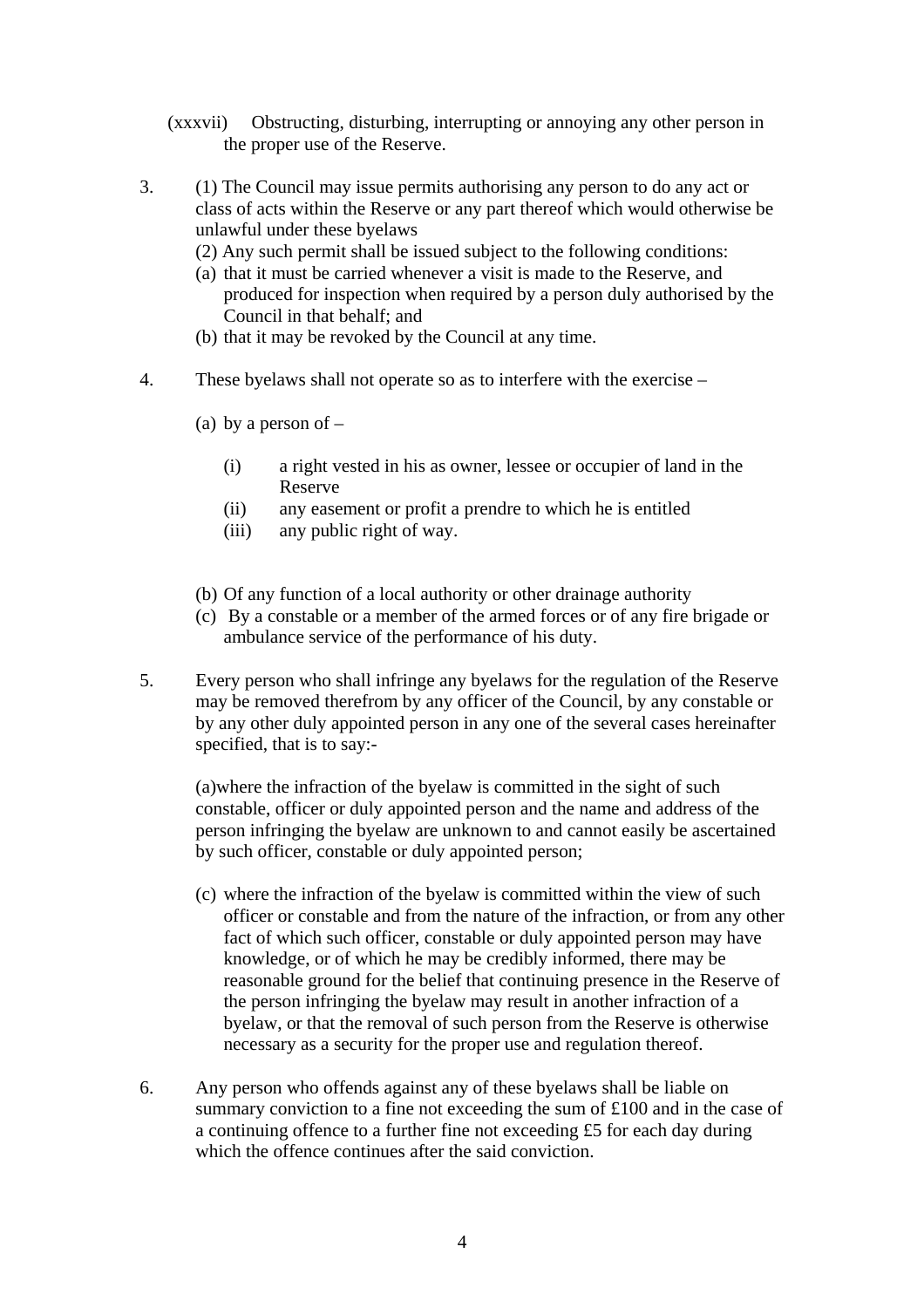- (xxxvii) Obstructing, disturbing, interrupting or annoying any other person in the proper use of the Reserve.
- 3. (1) The Council may issue permits authorising any person to do any act or class of acts within the Reserve or any part thereof which would otherwise be unlawful under these byelaws
	- (2) Any such permit shall be issued subject to the following conditions:
	- (a) that it must be carried whenever a visit is made to the Reserve, and produced for inspection when required by a person duly authorised by the Council in that behalf; and
	- (b) that it may be revoked by the Council at any time.
- 4. These byelaws shall not operate so as to interfere with the exercise
	- (a) by a person of  $-$ 
		- (i) a right vested in his as owner, lessee or occupier of land in the Reserve
		- (ii) any easement or profit a prendre to which he is entitled
		- (iii) any public right of way.
	- (b) Of any function of a local authority or other drainage authority
	- (c) By a constable or a member of the armed forces or of any fire brigade or ambulance service of the performance of his duty.
- 5. Every person who shall infringe any byelaws for the regulation of the Reserve may be removed therefrom by any officer of the Council, by any constable or by any other duly appointed person in any one of the several cases hereinafter specified, that is to say:-

(a)where the infraction of the byelaw is committed in the sight of such constable, officer or duly appointed person and the name and address of the person infringing the byelaw are unknown to and cannot easily be ascertained by such officer, constable or duly appointed person;

- (c) where the infraction of the byelaw is committed within the view of such officer or constable and from the nature of the infraction, or from any other fact of which such officer, constable or duly appointed person may have knowledge, or of which he may be credibly informed, there may be reasonable ground for the belief that continuing presence in the Reserve of the person infringing the byelaw may result in another infraction of a byelaw, or that the removal of such person from the Reserve is otherwise necessary as a security for the proper use and regulation thereof.
- 6. Any person who offends against any of these byelaws shall be liable on summary conviction to a fine not exceeding the sum of £100 and in the case of a continuing offence to a further fine not exceeding £5 for each day during which the offence continues after the said conviction.